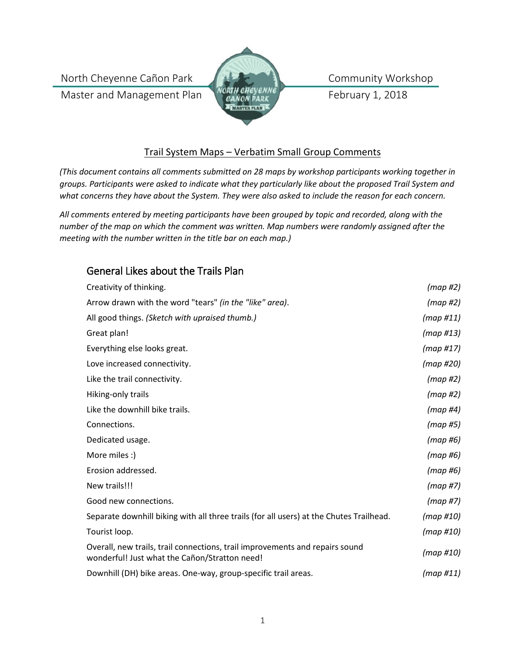North Cheyenne Cañon Park

Master and Management Plan



Community Workshop

February 1, 2018

#### Trail System Maps – Verbatim Small Group Comments

*(This document contains all comments submitted on 28 maps by workshop participants working together in groups. Participants were asked to indicate what they particularly like about the proposed Trail System and what concerns they have about the System. They were also asked to include the reason for each concern.*

*All comments entered by meeting participants have been grouped by topic and recorded, along with the number of the map on which the comment was written. Map numbers were randomly assigned after the meeting with the number written in the title bar on each map.)*

### General Likes about the Trails Plan

| Creativity of thinking.                                                                                                       | (map#2)      |
|-------------------------------------------------------------------------------------------------------------------------------|--------------|
| Arrow drawn with the word "tears" (in the "like" area).                                                                       | (map#2)      |
| All good things. (Sketch with upraised thumb.)                                                                                | (map#11)     |
| Great plan!                                                                                                                   | (map #13)    |
| Everything else looks great.                                                                                                  | (map #17)    |
| Love increased connectivity.                                                                                                  | $(map \#20)$ |
| Like the trail connectivity.                                                                                                  | $(map \#2)$  |
| Hiking-only trails                                                                                                            | $(map \#2)$  |
| Like the downhill bike trails.                                                                                                | $(map \#4)$  |
| Connections.                                                                                                                  | (map#5)      |
| Dedicated usage.                                                                                                              | (map #6)     |
| More miles :)                                                                                                                 | (map#6)      |
| Erosion addressed.                                                                                                            | (map#6)      |
| New trails!!!                                                                                                                 | (map#7)      |
| Good new connections.                                                                                                         | (map#7)      |
| Separate downhill biking with all three trails (for all users) at the Chutes Trailhead.                                       | $(map \#10)$ |
| Tourist loop.                                                                                                                 | (map #10)    |
| Overall, new trails, trail connections, trail improvements and repairs sound<br>wonderful! Just what the Cañon/Stratton need! | (map #10)    |
| Downhill (DH) bike areas. One-way, group-specific trail areas.                                                                | (map H11)    |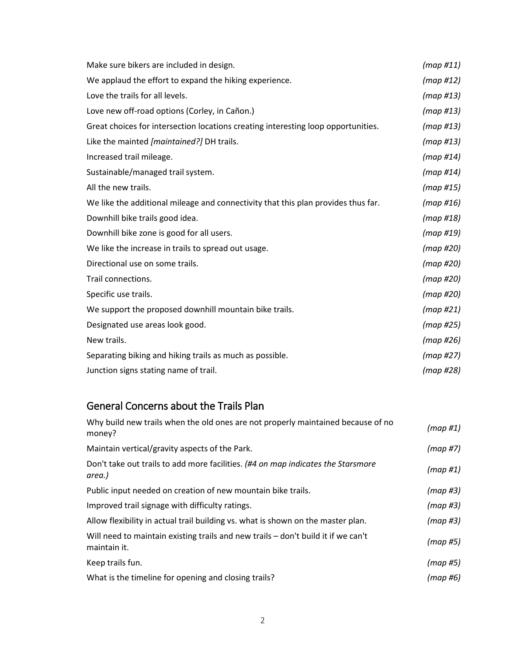| Make sure bikers are included in design.                                          | (map #11)    |
|-----------------------------------------------------------------------------------|--------------|
| We applaud the effort to expand the hiking experience.                            | (map #12)    |
| Love the trails for all levels.                                                   | $(map \#13)$ |
| Love new off-road options (Corley, in Cañon.)                                     | $(map \#13)$ |
| Great choices for intersection locations creating interesting loop opportunities. | (map #13)    |
| Like the mainted [maintained?] DH trails.                                         | (map #13)    |
| Increased trail mileage.                                                          | (map H14)    |
| Sustainable/managed trail system.                                                 | (map H14)    |
| All the new trails.                                                               | (map #15)    |
| We like the additional mileage and connectivity that this plan provides thus far. | $(map \#16)$ |
| Downhill bike trails good idea.                                                   | (map #18)    |
| Downhill bike zone is good for all users.                                         | (map#19)     |
| We like the increase in trails to spread out usage.                               | (map #20)    |
| Directional use on some trails.                                                   | (map#20)     |
| Trail connections.                                                                | (map#20)     |
| Specific use trails.                                                              | (map#20)     |
| We support the proposed downhill mountain bike trails.                            | (map#21)     |
| Designated use areas look good.                                                   | (map#25)     |
| New trails.                                                                       | $(map \#26)$ |
| Separating biking and hiking trails as much as possible.                          | (map#27)     |
| Junction signs stating name of trail.                                             | (map #28)    |

## General Concerns about the Trails Plan

| Why build new trails when the old ones are not properly maintained because of no<br>money?        | $(map \#1)$ |
|---------------------------------------------------------------------------------------------------|-------------|
| Maintain vertical/gravity aspects of the Park.                                                    | (map#7)     |
| Don't take out trails to add more facilities. (#4 on map indicates the Starsmore<br>area.)        | (map#1)     |
| Public input needed on creation of new mountain bike trails.                                      | $(map \#3)$ |
| Improved trail signage with difficulty ratings.                                                   | $(map \#3)$ |
| Allow flexibility in actual trail building vs. what is shown on the master plan.                  | $(map \#3)$ |
| Will need to maintain existing trails and new trails - don't build it if we can't<br>maintain it. | (map#5)     |
| Keep trails fun.                                                                                  | (map#5)     |
| What is the timeline for opening and closing trails?                                              | (map #6)    |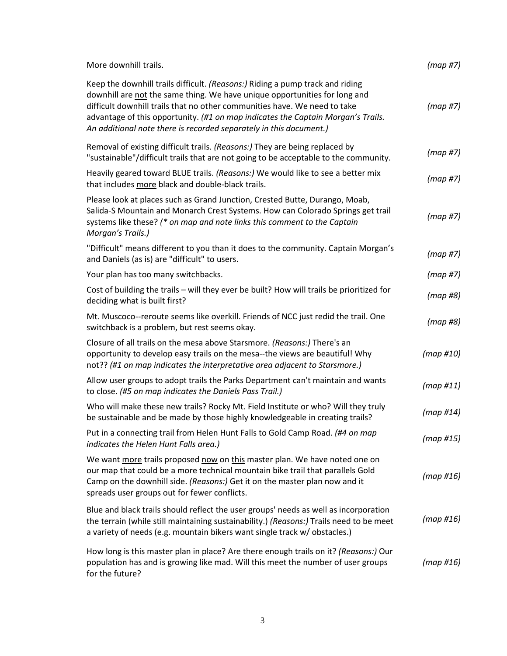| More downhill trails.                                                                                                                                                                                                                                                                                                                                                                              | (map #7)     |
|----------------------------------------------------------------------------------------------------------------------------------------------------------------------------------------------------------------------------------------------------------------------------------------------------------------------------------------------------------------------------------------------------|--------------|
| Keep the downhill trails difficult. (Reasons:) Riding a pump track and riding<br>downhill are not the same thing. We have unique opportunities for long and<br>difficult downhill trails that no other communities have. We need to take<br>advantage of this opportunity. (#1 on map indicates the Captain Morgan's Trails.<br>An additional note there is recorded separately in this document.) | (map#7)      |
| Removal of existing difficult trails. (Reasons:) They are being replaced by<br>"sustainable"/difficult trails that are not going to be acceptable to the community.                                                                                                                                                                                                                                | (map#7)      |
| Heavily geared toward BLUE trails. (Reasons:) We would like to see a better mix<br>that includes more black and double-black trails.                                                                                                                                                                                                                                                               | (map#7)      |
| Please look at places such as Grand Junction, Crested Butte, Durango, Moab,<br>Salida-S Mountain and Monarch Crest Systems. How can Colorado Springs get trail<br>systems like these? (* on map and note links this comment to the Captain<br>Morgan's Trails.)                                                                                                                                    | (map#7)      |
| "Difficult" means different to you than it does to the community. Captain Morgan's<br>and Daniels (as is) are "difficult" to users.                                                                                                                                                                                                                                                                | (map #7)     |
| Your plan has too many switchbacks.                                                                                                                                                                                                                                                                                                                                                                | (map #7)     |
| Cost of building the trails - will they ever be built? How will trails be prioritized for<br>deciding what is built first?                                                                                                                                                                                                                                                                         | (map#8)      |
| Mt. Muscoco--reroute seems like overkill. Friends of NCC just redid the trail. One<br>switchback is a problem, but rest seems okay.                                                                                                                                                                                                                                                                | (map #8)     |
| Closure of all trails on the mesa above Starsmore. (Reasons:) There's an<br>opportunity to develop easy trails on the mesa--the views are beautiful! Why<br>not?? (#1 on map indicates the interpretative area adjacent to Starsmore.)                                                                                                                                                             | (map #10)    |
| Allow user groups to adopt trails the Parks Department can't maintain and wants<br>to close. (#5 on map indicates the Daniels Pass Trail.)                                                                                                                                                                                                                                                         | (map#11)     |
| Who will make these new trails? Rocky Mt. Field Institute or who? Will they truly<br>be sustainable and be made by those highly knowledgeable in creating trails?                                                                                                                                                                                                                                  | (map H14)    |
| Put in a connecting trail from Helen Hunt Falls to Gold Camp Road. (#4 on map<br>indicates the Helen Hunt Falls area.)                                                                                                                                                                                                                                                                             | (map #15)    |
| We want more trails proposed now on this master plan. We have noted one on<br>our map that could be a more technical mountain bike trail that parallels Gold<br>Camp on the downhill side. (Reasons:) Get it on the master plan now and it<br>spreads user groups out for fewer conflicts.                                                                                                         | (map #16)    |
| Blue and black trails should reflect the user groups' needs as well as incorporation<br>the terrain (while still maintaining sustainability.) (Reasons:) Trails need to be meet<br>a variety of needs (e.g. mountain bikers want single track w/ obstacles.)                                                                                                                                       | $(map \#16)$ |
| How long is this master plan in place? Are there enough trails on it? (Reasons:) Our<br>population has and is growing like mad. Will this meet the number of user groups<br>for the future?                                                                                                                                                                                                        | $(map \#16)$ |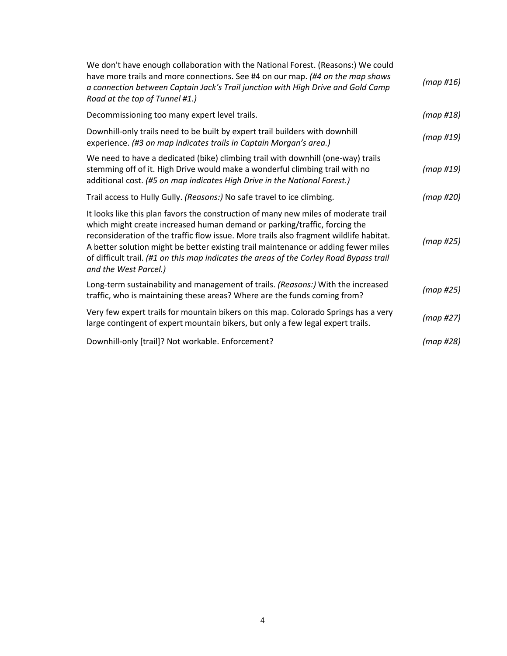| We don't have enough collaboration with the National Forest. (Reasons:) We could<br>have more trails and more connections. See #4 on our map. (#4 on the map shows<br>a connection between Captain Jack's Trail junction with High Drive and Gold Camp<br>Road at the top of Tunnel #1.)                                                                                                                                                                             | (map #16) |
|----------------------------------------------------------------------------------------------------------------------------------------------------------------------------------------------------------------------------------------------------------------------------------------------------------------------------------------------------------------------------------------------------------------------------------------------------------------------|-----------|
| Decommissioning too many expert level trails.                                                                                                                                                                                                                                                                                                                                                                                                                        | (map #18) |
| Downhill-only trails need to be built by expert trail builders with downhill<br>experience. (#3 on map indicates trails in Captain Morgan's area.)                                                                                                                                                                                                                                                                                                                   | (map #19) |
| We need to have a dedicated (bike) climbing trail with downhill (one-way) trails<br>stemming off of it. High Drive would make a wonderful climbing trail with no<br>additional cost. (#5 on map indicates High Drive in the National Forest.)                                                                                                                                                                                                                        | (map #19) |
| Trail access to Hully Gully. (Reasons:) No safe travel to ice climbing.                                                                                                                                                                                                                                                                                                                                                                                              | (map #20) |
| It looks like this plan favors the construction of many new miles of moderate trail<br>which might create increased human demand or parking/traffic, forcing the<br>reconsideration of the traffic flow issue. More trails also fragment wildlife habitat.<br>A better solution might be better existing trail maintenance or adding fewer miles<br>of difficult trail. (#1 on this map indicates the areas of the Corley Road Bypass trail<br>and the West Parcel.) | (map#25)  |
| Long-term sustainability and management of trails. (Reasons:) With the increased<br>traffic, who is maintaining these areas? Where are the funds coming from?                                                                                                                                                                                                                                                                                                        | (map#25)  |
| Very few expert trails for mountain bikers on this map. Colorado Springs has a very<br>large contingent of expert mountain bikers, but only a few legal expert trails.                                                                                                                                                                                                                                                                                               | (map #27) |
| Downhill-only [trail]? Not workable. Enforcement?                                                                                                                                                                                                                                                                                                                                                                                                                    | (map#28)  |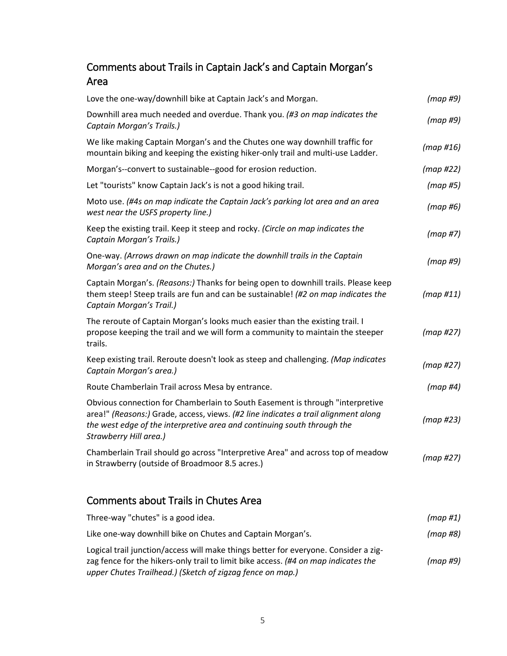### Comments about Trails in Captain Jack's and Captain Morgan's Area

| Love the one-way/downhill bike at Captain Jack's and Morgan.                                                                                                                                                                                                             | (map#9)      |
|--------------------------------------------------------------------------------------------------------------------------------------------------------------------------------------------------------------------------------------------------------------------------|--------------|
| Downhill area much needed and overdue. Thank you. (#3 on map indicates the<br>Captain Morgan's Trails.)                                                                                                                                                                  | (map#9)      |
| We like making Captain Morgan's and the Chutes one way downhill traffic for<br>mountain biking and keeping the existing hiker-only trail and multi-use Ladder.                                                                                                           | $(map \#16)$ |
| Morgan's--convert to sustainable--good for erosion reduction.                                                                                                                                                                                                            | (map#22)     |
| Let "tourists" know Captain Jack's is not a good hiking trail.                                                                                                                                                                                                           | (map#5)      |
| Moto use. (#4s on map indicate the Captain Jack's parking lot area and an area<br>west near the USFS property line.)                                                                                                                                                     | (map#6)      |
| Keep the existing trail. Keep it steep and rocky. (Circle on map indicates the<br>Captain Morgan's Trails.)                                                                                                                                                              | (map#7)      |
| One-way. (Arrows drawn on map indicate the downhill trails in the Captain<br>Morgan's area and on the Chutes.)                                                                                                                                                           | (map#9)      |
| Captain Morgan's. (Reasons:) Thanks for being open to downhill trails. Please keep<br>them steep! Steep trails are fun and can be sustainable! (#2 on map indicates the<br>Captain Morgan's Trail.)                                                                      | (map H11)    |
| The reroute of Captain Morgan's looks much easier than the existing trail. I<br>propose keeping the trail and we will form a community to maintain the steeper<br>trails.                                                                                                | (map#27)     |
| Keep existing trail. Reroute doesn't look as steep and challenging. (Map indicates<br>Captain Morgan's area.)                                                                                                                                                            | (map#27)     |
| Route Chamberlain Trail across Mesa by entrance.                                                                                                                                                                                                                         | $(map \#4)$  |
| Obvious connection for Chamberlain to South Easement is through "interpretive<br>area!" (Reasons:) Grade, access, views. (#2 line indicates a trail alignment along<br>the west edge of the interpretive area and continuing south through the<br>Strawberry Hill area.) | (map#23)     |
| Chamberlain Trail should go across "Interpretive Area" and across top of meadow<br>in Strawberry (outside of Broadmoor 8.5 acres.)                                                                                                                                       | (map#27)     |
| <b>Comments about Trails in Chutes Area</b>                                                                                                                                                                                                                              |              |

| Three-way "chutes" is a good idea.                                                                                                                                                                                                     | (map#1)  |
|----------------------------------------------------------------------------------------------------------------------------------------------------------------------------------------------------------------------------------------|----------|
| Like one-way downhill bike on Chutes and Captain Morgan's.                                                                                                                                                                             | (map #8) |
| Logical trail junction/access will make things better for everyone. Consider a zig-<br>zag fence for the hikers-only trail to limit bike access. (#4 on map indicates the<br>upper Chutes Trailhead.) (Sketch of zigzag fence on map.) | (map #9) |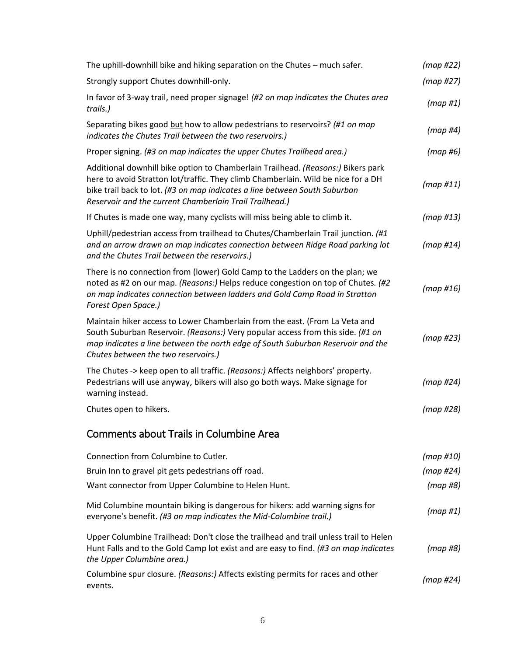| The uphill-downhill bike and hiking separation on the Chutes – much safer.                                                                                                                                                                                                                                     | (map #22)    |
|----------------------------------------------------------------------------------------------------------------------------------------------------------------------------------------------------------------------------------------------------------------------------------------------------------------|--------------|
| Strongly support Chutes downhill-only.                                                                                                                                                                                                                                                                         | (map#27)     |
| In favor of 3-way trail, need proper signage! (#2 on map indicates the Chutes area<br>trails.)                                                                                                                                                                                                                 | (map#1)      |
| Separating bikes good but how to allow pedestrians to reservoirs? (#1 on map<br>indicates the Chutes Trail between the two reservoirs.)                                                                                                                                                                        | $(map \#4)$  |
| Proper signing. (#3 on map indicates the upper Chutes Trailhead area.)                                                                                                                                                                                                                                         | (map#6)      |
| Additional downhill bike option to Chamberlain Trailhead. (Reasons:) Bikers park<br>here to avoid Stratton lot/traffic. They climb Chamberlain. Wild be nice for a DH<br>bike trail back to lot. (#3 on map indicates a line between South Suburban<br>Reservoir and the current Chamberlain Trail Trailhead.) | (map#11)     |
| If Chutes is made one way, many cyclists will miss being able to climb it.                                                                                                                                                                                                                                     | $(map \#13)$ |
| Uphill/pedestrian access from trailhead to Chutes/Chamberlain Trail junction. (#1<br>and an arrow drawn on map indicates connection between Ridge Road parking lot<br>and the Chutes Trail between the reservoirs.)                                                                                            | (map H14)    |
| There is no connection from (lower) Gold Camp to the Ladders on the plan; we<br>noted as #2 on our map. (Reasons:) Helps reduce congestion on top of Chutes. (#2<br>on map indicates connection between ladders and Gold Camp Road in Stratton<br>Forest Open Space.)                                          | (map #16)    |
| Maintain hiker access to Lower Chamberlain from the east. (From La Veta and<br>South Suburban Reservoir. (Reasons:) Very popular access from this side. (#1 on<br>map indicates a line between the north edge of South Suburban Reservoir and the<br>Chutes between the two reservoirs.)                       | (map#23)     |
| The Chutes -> keep open to all traffic. (Reasons:) Affects neighbors' property.<br>Pedestrians will use anyway, bikers will also go both ways. Make signage for<br>warning instead.                                                                                                                            | (map#24)     |
| Chutes open to hikers.                                                                                                                                                                                                                                                                                         | (map #28)    |
| <b>Comments about Trails in Columbine Area</b>                                                                                                                                                                                                                                                                 |              |
| Connection from Columbine to Cutler.                                                                                                                                                                                                                                                                           | $(map \#10)$ |
| Bruin Inn to gravel pit gets pedestrians off road.                                                                                                                                                                                                                                                             | (map #24)    |
| Want connector from Upper Columbine to Helen Hunt.                                                                                                                                                                                                                                                             | (map#8)      |
| Mid Columbine mountain biking is dangerous for hikers: add warning signs for<br>everyone's benefit. (#3 on map indicates the Mid-Columbine trail.)                                                                                                                                                             | (map#1)      |
| Upper Columbine Trailhead: Don't close the trailhead and trail unless trail to Helen<br>Hunt Falls and to the Gold Camp lot exist and are easy to find. (#3 on map indicates<br>the Upper Columbine area.)                                                                                                     | (map#8)      |
| Columbine spur closure. (Reasons:) Affects existing permits for races and other<br>events.                                                                                                                                                                                                                     | (map #24)    |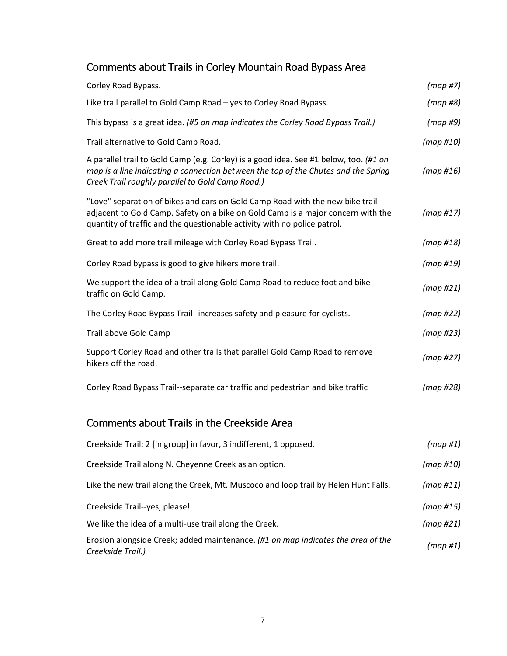# Comments about Trails in Corley Mountain Road Bypass Area

| Corley Road Bypass.                                                                                                                                                                                                                           | (map#7)      |
|-----------------------------------------------------------------------------------------------------------------------------------------------------------------------------------------------------------------------------------------------|--------------|
| Like trail parallel to Gold Camp Road - yes to Corley Road Bypass.                                                                                                                                                                            | (map#8)      |
| This bypass is a great idea. (#5 on map indicates the Corley Road Bypass Trail.)                                                                                                                                                              | (map#9)      |
| Trail alternative to Gold Camp Road.                                                                                                                                                                                                          | (map #10)    |
| A parallel trail to Gold Camp (e.g. Corley) is a good idea. See #1 below, too. (#1 on<br>map is a line indicating a connection between the top of the Chutes and the Spring<br>Creek Trail roughly parallel to Gold Camp Road.)               | $(map \#16)$ |
| "Love" separation of bikes and cars on Gold Camp Road with the new bike trail<br>adjacent to Gold Camp. Safety on a bike on Gold Camp is a major concern with the<br>quantity of traffic and the questionable activity with no police patrol. | (map #17)    |
| Great to add more trail mileage with Corley Road Bypass Trail.                                                                                                                                                                                | (map #18)    |
| Corley Road bypass is good to give hikers more trail.                                                                                                                                                                                         | (map #19)    |
| We support the idea of a trail along Gold Camp Road to reduce foot and bike<br>traffic on Gold Camp.                                                                                                                                          | (map#21)     |
| The Corley Road Bypass Trail--increases safety and pleasure for cyclists.                                                                                                                                                                     | (map#22)     |
| Trail above Gold Camp                                                                                                                                                                                                                         | (map#23)     |
| Support Corley Road and other trails that parallel Gold Camp Road to remove<br>hikers off the road.                                                                                                                                           | (map#27)     |
| Corley Road Bypass Trail--separate car traffic and pedestrian and bike traffic                                                                                                                                                                | (map#28)     |
| <b>Comments about Trails in the Creekside Area</b>                                                                                                                                                                                            |              |
| Creekside Trail: 2 [in group] in favor, 3 indifferent, 1 opposed.                                                                                                                                                                             | $(map \#1)$  |
| Creekside Trail along N. Cheyenne Creek as an option.                                                                                                                                                                                         | (map #10)    |
| Like the new trail along the Creek, Mt. Muscoco and loop trail by Helen Hunt Falls.                                                                                                                                                           | (map#11)     |
| Creekside Trail--yes, please!                                                                                                                                                                                                                 | $(map \#15)$ |
| We like the idea of a multi-use trail along the Creek.                                                                                                                                                                                        | (map#21)     |
| $F_{\text{unclon}}$ algorithments and and maintenance $\mu$ and man indicated the questafth                                                                                                                                                   |              |

Erosion alongside Creek; added maintenance. *(#1 on map indicates the area of the Creekside Trail.) (map #1)*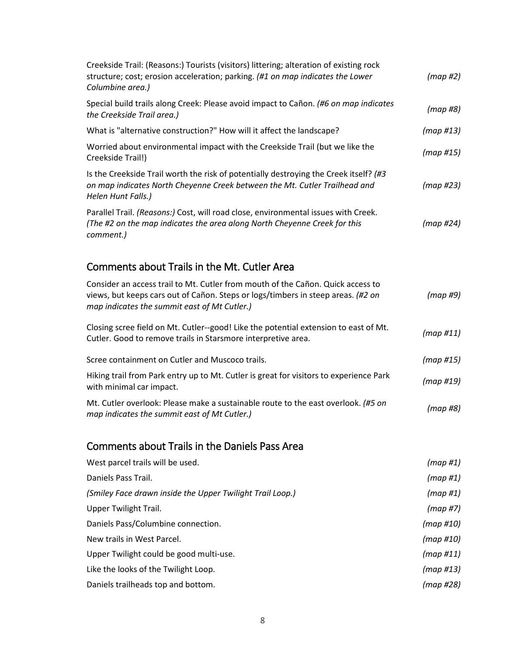| Creekside Trail: (Reasons:) Tourists (visitors) littering; alteration of existing rock<br>structure; cost; erosion acceleration; parking. (#1 on map indicates the Lower<br>Columbine area.)                        | (map#2)      |
|---------------------------------------------------------------------------------------------------------------------------------------------------------------------------------------------------------------------|--------------|
| Special build trails along Creek: Please avoid impact to Cañon. (#6 on map indicates<br>the Creekside Trail area.)                                                                                                  | (map#8)      |
| What is "alternative construction?" How will it affect the landscape?                                                                                                                                               | $(map \#13)$ |
| Worried about environmental impact with the Creekside Trail (but we like the<br>Creekside Trail!)                                                                                                                   | (map #15)    |
| Is the Creekside Trail worth the risk of potentially destroying the Creek itself? (#3<br>on map indicates North Cheyenne Creek between the Mt. Cutler Trailhead and<br>Helen Hunt Falls.)                           | (map#23)     |
| Parallel Trail. (Reasons:) Cost, will road close, environmental issues with Creek.<br>(The #2 on the map indicates the area along North Cheyenne Creek for this<br>comment.)                                        | (map#24)     |
| Comments about Trails in the Mt. Cutler Area                                                                                                                                                                        |              |
| Consider an access trail to Mt. Cutler from mouth of the Cañon. Quick access to<br>views, but keeps cars out of Cañon. Steps or logs/timbers in steep areas. (#2 on<br>map indicates the summit east of Mt Cutler.) | (map#9)      |
| Closing scree field on Mt. Cutler--good! Like the potential extension to east of Mt.<br>Cutler. Good to remove trails in Starsmore interpretive area.                                                               | (map H11)    |
| Scree containment on Cutler and Muscoco trails.                                                                                                                                                                     | (map #15)    |
| Hiking trail from Park entry up to Mt. Cutler is great for visitors to experience Park<br>with minimal car impact.                                                                                                  | (map#19)     |
| Mt. Cutler overlook: Please make a sustainable route to the east overlook. (#5 on<br>map indicates the summit east of Mt Cutler.)                                                                                   | (map#8)      |
| <b>Comments about Trails in the Daniels Pass Area</b>                                                                                                                                                               |              |
| West parcel trails will be used.                                                                                                                                                                                    | (map#1)      |
| Daniels Pass Trail.                                                                                                                                                                                                 | $(map \#1)$  |
| (Smiley Face drawn inside the Upper Twilight Trail Loop.)                                                                                                                                                           | $(map \#1)$  |
| <b>Upper Twilight Trail.</b>                                                                                                                                                                                        | (map#7)      |
| Daniels Pass/Columbine connection.                                                                                                                                                                                  | $(map \#10)$ |
| New trails in West Parcel.                                                                                                                                                                                          | $(map \#10)$ |
| Upper Twilight could be good multi-use.                                                                                                                                                                             | (map #11)    |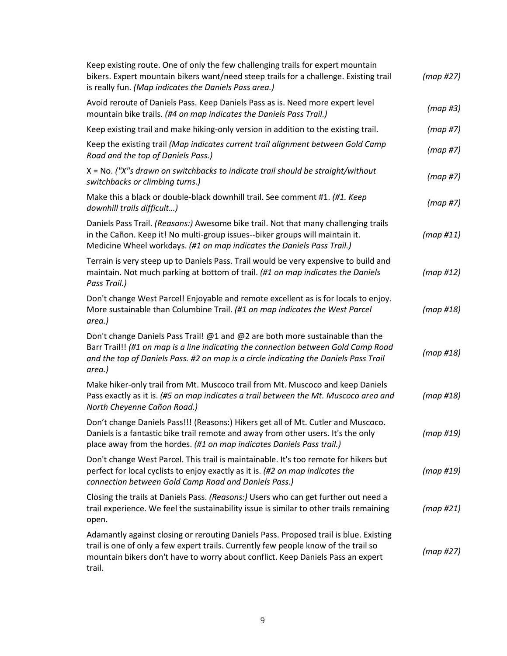| Keep existing route. One of only the few challenging trails for expert mountain<br>bikers. Expert mountain bikers want/need steep trails for a challenge. Existing trail<br>is really fun. (Map indicates the Daniels Pass area.)                                         | (map#27)  |
|---------------------------------------------------------------------------------------------------------------------------------------------------------------------------------------------------------------------------------------------------------------------------|-----------|
| Avoid reroute of Daniels Pass. Keep Daniels Pass as is. Need more expert level<br>mountain bike trails. (#4 on map indicates the Daniels Pass Trail.)                                                                                                                     | (map#3)   |
| Keep existing trail and make hiking-only version in addition to the existing trail.                                                                                                                                                                                       | (map#7)   |
| Keep the existing trail (Map indicates current trail alignment between Gold Camp<br>Road and the top of Daniels Pass.)                                                                                                                                                    | (map#7)   |
| X = No. ("X"s drawn on switchbacks to indicate trail should be straight/without<br>switchbacks or climbing turns.)                                                                                                                                                        | (map H7)  |
| Make this a black or double-black downhill trail. See comment #1. (#1. Keep<br>downhill trails difficult)                                                                                                                                                                 | (map#7)   |
| Daniels Pass Trail. (Reasons:) Awesome bike trail. Not that many challenging trails<br>in the Cañon. Keep it! No multi-group issues--biker groups will maintain it.<br>Medicine Wheel workdays. (#1 on map indicates the Daniels Pass Trail.)                             | (map H11) |
| Terrain is very steep up to Daniels Pass. Trail would be very expensive to build and<br>maintain. Not much parking at bottom of trail. (#1 on map indicates the Daniels<br>Pass Trail.)                                                                                   | (map #12) |
| Don't change West Parcel! Enjoyable and remote excellent as is for locals to enjoy.<br>More sustainable than Columbine Trail. (#1 on map indicates the West Parcel<br>area.)                                                                                              | (map #18) |
| Don't change Daniels Pass Trail! @1 and @2 are both more sustainable than the<br>Barr Trail!! (#1 on map is a line indicating the connection between Gold Camp Road<br>and the top of Daniels Pass. #2 on map is a circle indicating the Daniels Pass Trail<br>area.)     | (map #18) |
| Make hiker-only trail from Mt. Muscoco trail from Mt. Muscoco and keep Daniels<br>Pass exactly as it is. (#5 on map indicates a trail between the Mt. Muscoco area and<br>North Cheyenne Cañon Road.)                                                                     | (map#18)  |
| Don't change Daniels Pass!!! (Reasons:) Hikers get all of Mt. Cutler and Muscoco.<br>Daniels is a fantastic bike trail remote and away from other users. It's the only<br>place away from the hordes. (#1 on map indicates Daniels Pass trail.)                           | (map#19)  |
| Don't change West Parcel. This trail is maintainable. It's too remote for hikers but<br>perfect for local cyclists to enjoy exactly as it is. (#2 on map indicates the<br>connection between Gold Camp Road and Daniels Pass.)                                            | (map#19)  |
| Closing the trails at Daniels Pass. (Reasons:) Users who can get further out need a<br>trail experience. We feel the sustainability issue is similar to other trails remaining<br>open.                                                                                   | (map#21)  |
| Adamantly against closing or rerouting Daniels Pass. Proposed trail is blue. Existing<br>trail is one of only a few expert trails. Currently few people know of the trail so<br>mountain bikers don't have to worry about conflict. Keep Daniels Pass an expert<br>trail. | (map#27)  |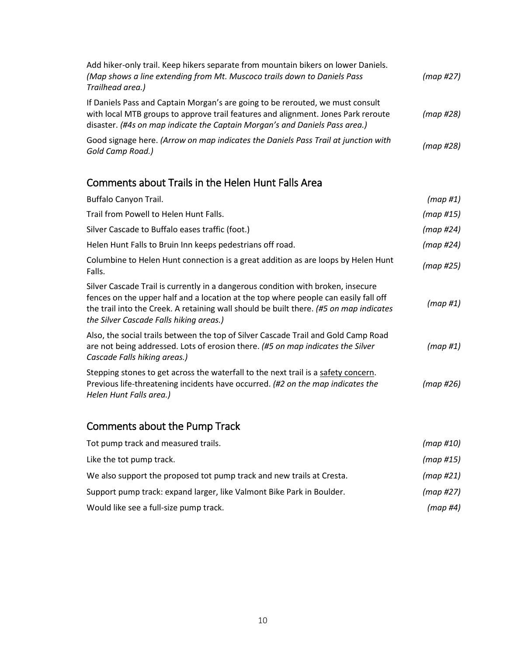| Add hiker-only trail. Keep hikers separate from mountain bikers on lower Daniels.<br>(Map shows a line extending from Mt. Muscoco trails down to Daniels Pass<br>Trailhead area.)                                                                  | (map#27) |
|----------------------------------------------------------------------------------------------------------------------------------------------------------------------------------------------------------------------------------------------------|----------|
| If Daniels Pass and Captain Morgan's are going to be rerouted, we must consult<br>with local MTB groups to approve trail features and alignment. Jones Park reroute<br>disaster. (#4s on map indicate the Captain Morgan's and Daniels Pass area.) | (map#28) |
| Good signage here. (Arrow on map indicates the Daniels Pass Trail at junction with<br>Gold Camp Road.)                                                                                                                                             | (map#28) |

### Comments about Trails in the Helen Hunt Falls Area

| Buffalo Canyon Trail.                                                                                                                                                                                                                                                                                        | (map#1)      |
|--------------------------------------------------------------------------------------------------------------------------------------------------------------------------------------------------------------------------------------------------------------------------------------------------------------|--------------|
| Trail from Powell to Helen Hunt Falls.                                                                                                                                                                                                                                                                       | $(map \#15)$ |
| Silver Cascade to Buffalo eases traffic (foot.)                                                                                                                                                                                                                                                              | (map #24)    |
| Helen Hunt Falls to Bruin Inn keeps pedestrians off road.                                                                                                                                                                                                                                                    | (map #24)    |
| Columbine to Helen Hunt connection is a great addition as are loops by Helen Hunt<br>Falls.                                                                                                                                                                                                                  | (map #25)    |
| Silver Cascade Trail is currently in a dangerous condition with broken, insecure<br>fences on the upper half and a location at the top where people can easily fall off<br>the trail into the Creek. A retaining wall should be built there. (#5 on map indicates<br>the Silver Cascade Falls hiking areas.) | (map #1)     |
| Also, the social trails between the top of Silver Cascade Trail and Gold Camp Road<br>are not being addressed. Lots of erosion there. (#5 on map indicates the Silver<br>Cascade Falls hiking areas.)                                                                                                        | (map#1)      |
| Stepping stones to get across the waterfall to the next trail is a safety concern.<br>Previous life-threatening incidents have occurred. (#2 on the map indicates the<br>Helen Hunt Falls area.)                                                                                                             | (map #26)    |

# Comments about the Pump Track

| Tot pump track and measured trails.                                   | (map #10) |
|-----------------------------------------------------------------------|-----------|
| Like the tot pump track.                                              | (map #15) |
| We also support the proposed tot pump track and new trails at Cresta. | (map #21) |
| Support pump track: expand larger, like Valmont Bike Park in Boulder. | (map #27) |
| Would like see a full-size pump track.                                | (map #4)  |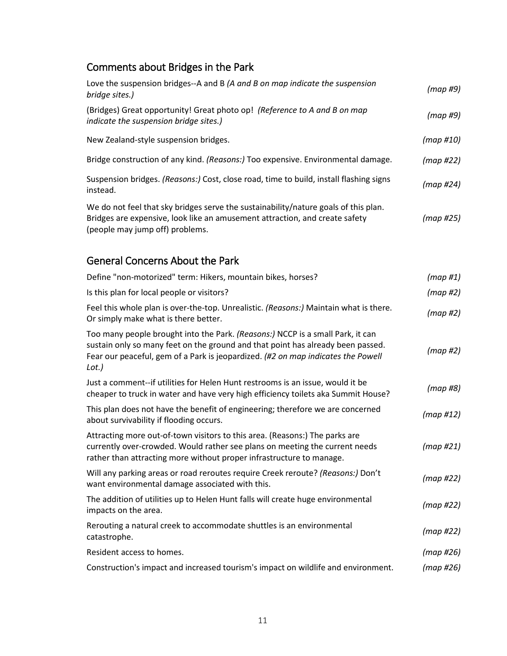#### Comments about Bridges in the Park

| Love the suspension bridges--A and B (A and B on map indicate the suspension<br>bridge sites.)                                                                                                                                                                 | (map#9)     |
|----------------------------------------------------------------------------------------------------------------------------------------------------------------------------------------------------------------------------------------------------------------|-------------|
| (Bridges) Great opportunity! Great photo op! (Reference to A and B on map<br>indicate the suspension bridge sites.)                                                                                                                                            | (map#9)     |
| New Zealand-style suspension bridges.                                                                                                                                                                                                                          | (map #10)   |
| Bridge construction of any kind. (Reasons:) Too expensive. Environmental damage.                                                                                                                                                                               | (map#22)    |
| Suspension bridges. (Reasons:) Cost, close road, time to build, install flashing signs<br>instead.                                                                                                                                                             | (map #24)   |
| We do not feel that sky bridges serve the sustainability/nature goals of this plan.<br>Bridges are expensive, look like an amusement attraction, and create safety<br>(people may jump off) problems.                                                          | (map#25)    |
| <b>General Concerns About the Park</b>                                                                                                                                                                                                                         |             |
| Define "non-motorized" term: Hikers, mountain bikes, horses?                                                                                                                                                                                                   | $(map \#1)$ |
| Is this plan for local people or visitors?                                                                                                                                                                                                                     | (map#2)     |
| Feel this whole plan is over-the-top. Unrealistic. (Reasons:) Maintain what is there.<br>Or simply make what is there better.                                                                                                                                  | (map#2)     |
| Too many people brought into the Park. (Reasons:) NCCP is a small Park, it can<br>sustain only so many feet on the ground and that point has already been passed.<br>Fear our peaceful, gem of a Park is jeopardized. (#2 on map indicates the Powell<br>Lot.) | (map#2)     |
| Just a comment--if utilities for Helen Hunt restrooms is an issue, would it be<br>cheaper to truck in water and have very high efficiency toilets aka Summit House?                                                                                            | (map#8)     |
| This plan does not have the benefit of engineering; therefore we are concerned<br>about survivability if flooding occurs.                                                                                                                                      | (map H12)   |

Attracting more out-of-town visitors to this area. (Reasons:) The parks are currently over-crowded. Would rather see plans on meeting the current needs rather than attracting more without proper infrastructure to manage. *(map #21)* Will any parking areas or road reroutes require Creek reroute? *(Reasons:)* Don't will any parking areas of road reroducs require ereck reroduc: *(neasons.)* Don't *(map #22)*<br>want environmental damage associated with this. The addition of utilities up to Helen Hunt falls will create huge environmental impacts on the area. *(map #22)* Rerouting a natural creek to accommodate shuttles is an environmental catastrophe. *(map #22)* Resident access to homes. *(map #26)*

Construction's impact and increased tourism's impact on wildlife and environment. *(map #26)*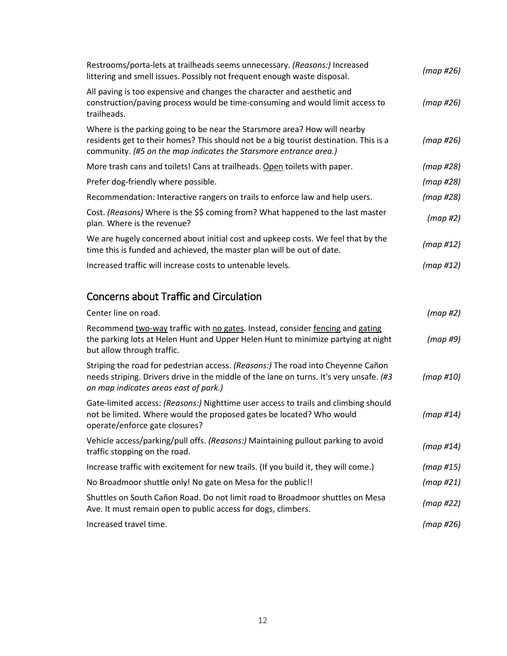| Restrooms/porta-lets at trailheads seems unnecessary. (Reasons:) Increased<br>littering and smell issues. Possibly not frequent enough waste disposal.                                                                                  | (map #26) |
|-----------------------------------------------------------------------------------------------------------------------------------------------------------------------------------------------------------------------------------------|-----------|
| All paving is too expensive and changes the character and aesthetic and<br>construction/paving process would be time-consuming and would limit access to<br>trailheads.                                                                 | (map #26) |
| Where is the parking going to be near the Starsmore area? How will nearby<br>residents get to their homes? This should not be a big tourist destination. This is a<br>community. (#5 on the map indicates the Starsmore entrance area.) | (map #26) |
| More trash cans and toilets! Cans at trailheads. Open toilets with paper.                                                                                                                                                               | (map #28) |
| Prefer dog-friendly where possible.                                                                                                                                                                                                     | (map #28) |
| Recommendation: Interactive rangers on trails to enforce law and help users.                                                                                                                                                            | (map #28) |
| Cost. (Reasons) Where is the \$\$ coming from? What happened to the last master<br>plan. Where is the revenue?                                                                                                                          | (map#2)   |
| We are hugely concerned about initial cost and upkeep costs. We feel that by the<br>time this is funded and achieved, the master plan will be out of date.                                                                              | (map #12) |
| Increased traffic will increase costs to untenable levels.                                                                                                                                                                              | (map #12) |
| <b>Concerns about Traffic and Circulation</b>                                                                                                                                                                                           |           |
| Center line on road.                                                                                                                                                                                                                    | (map #2)  |
| Recommend two-way traffic with no gates. Instead, consider fencing and gating                                                                                                                                                           |           |

| Recommend two-way traffic with no gates. Instead, consider fencing and gating<br>the parking lots at Helen Hunt and Upper Helen Hunt to minimize partying at night<br>but allow through traffic.                     | (map #9)     |
|----------------------------------------------------------------------------------------------------------------------------------------------------------------------------------------------------------------------|--------------|
| Striping the road for pedestrian access. (Reasons:) The road into Cheyenne Cañon<br>needs striping. Drivers drive in the middle of the lane on turns. It's very unsafe. (#3<br>on map indicates areas east of park.) | (map #10)    |
| Gate-limited access: (Reasons:) Nighttime user access to trails and climbing should<br>not be limited. Where would the proposed gates be located? Who would<br>operate/enforce gate closures?                        | (map #14)    |
| Vehicle access/parking/pull offs. (Reasons:) Maintaining pullout parking to avoid<br>traffic stopping on the road.                                                                                                   | (map H14)    |
| Increase traffic with excitement for new trails. (If you build it, they will come.)                                                                                                                                  | $(map \#15)$ |
| No Broadmoor shuttle only! No gate on Mesa for the public!!                                                                                                                                                          | (map#21)     |
| Shuttles on South Cañon Road. Do not limit road to Broadmoor shuttles on Mesa<br>Ave. It must remain open to public access for dogs, climbers.                                                                       | (map #22)    |
| Increased travel time.                                                                                                                                                                                               | (map #26)    |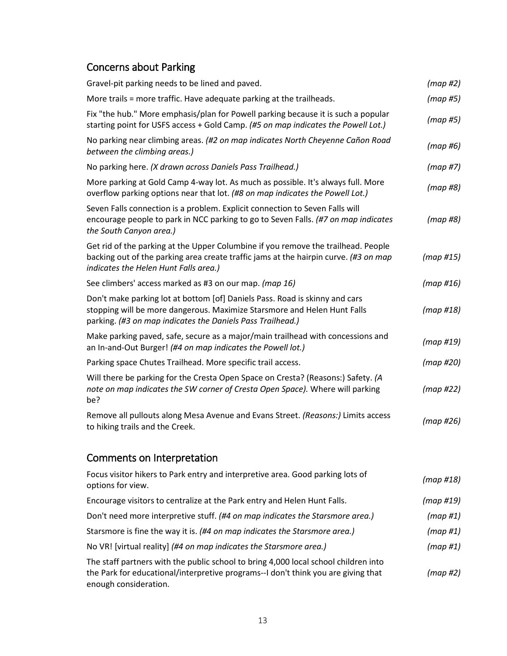# Concerns about Parking

| Gravel-pit parking needs to be lined and paved.                                                                                                                                                                       | (map#2)              |
|-----------------------------------------------------------------------------------------------------------------------------------------------------------------------------------------------------------------------|----------------------|
| More trails = more traffic. Have adequate parking at the trailheads.                                                                                                                                                  | (map#5)              |
| Fix "the hub." More emphasis/plan for Powell parking because it is such a popular<br>starting point for USFS access + Gold Camp. (#5 on map indicates the Powell Lot.)                                                | (map#5)              |
| No parking near climbing areas. (#2 on map indicates North Cheyenne Cañon Road<br>between the climbing areas.)                                                                                                        | (map#6)              |
| No parking here. (X drawn across Daniels Pass Trailhead.)                                                                                                                                                             | (map#7)              |
| More parking at Gold Camp 4-way lot. As much as possible. It's always full. More<br>overflow parking options near that lot. (#8 on map indicates the Powell Lot.)                                                     | (map#8)              |
| Seven Falls connection is a problem. Explicit connection to Seven Falls will<br>encourage people to park in NCC parking to go to Seven Falls. (#7 on map indicates<br>the South Canyon area.)                         | (map#8)              |
| Get rid of the parking at the Upper Columbine if you remove the trailhead. People<br>backing out of the parking area create traffic jams at the hairpin curve. (#3 on map<br>indicates the Helen Hunt Falls area.)    | (map #15)            |
| See climbers' access marked as #3 on our map. (map 16)                                                                                                                                                                | (map #16)            |
| Don't make parking lot at bottom [of] Daniels Pass. Road is skinny and cars<br>stopping will be more dangerous. Maximize Starsmore and Helen Hunt Falls<br>parking. (#3 on map indicates the Daniels Pass Trailhead.) | (map #18)            |
| Make parking paved, safe, secure as a major/main trailhead with concessions and<br>an In-and-Out Burger! (#4 on map indicates the Powell lot.)                                                                        | (map#19)             |
| Parking space Chutes Trailhead. More specific trail access.                                                                                                                                                           | (map#20)             |
| Will there be parking for the Cresta Open Space on Cresta? (Reasons:) Safety. (A<br>note on map indicates the SW corner of Cresta Open Space). Where will parking<br>be?                                              | (map#22)             |
| Remove all pullouts along Mesa Avenue and Evans Street. (Reasons:) Limits access<br>to hiking trails and the Creek.                                                                                                   | (map#26)             |
| Comments on Interpretation                                                                                                                                                                                            |                      |
| Focus visitor hikers to Park entry and interpretive area. Good parking lots of                                                                                                                                        | $1.2.2 \times 11701$ |

| TOCUS VISITOT TIINCIS TO T UTN CHITY UTIU INICI PI CHVC UTCU. OOOU PUTNIIIS IOTS OT<br>options for view.                                                                                          | (map #18)   |
|---------------------------------------------------------------------------------------------------------------------------------------------------------------------------------------------------|-------------|
| Encourage visitors to centralize at the Park entry and Helen Hunt Falls.                                                                                                                          | (map #19)   |
| Don't need more interpretive stuff. (#4 on map indicates the Starsmore area.)                                                                                                                     | $(map \#1)$ |
| Starsmore is fine the way it is. (#4 on map indicates the Starsmore area.)                                                                                                                        | $(map \#1)$ |
| No VR! [virtual reality] (#4 on map indicates the Starsmore area.)                                                                                                                                | $(map \#1)$ |
| The staff partners with the public school to bring 4,000 local school children into<br>the Park for educational/interpretive programs--I don't think you are giving that<br>enough consideration. | (map #2)    |